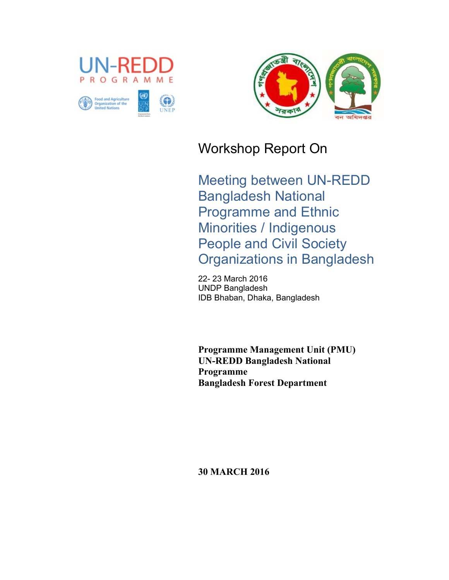



# Workshop Report On

Meeting between UN-REDD Bangladesh National Programme and Ethnic Minorities / Indigenous People and Civil Society Organizations in Bangladesh

22- 23 March 2016 UNDP Bangladesh IDB Bhaban, Dhaka, Bangladesh

**Programme Management Unit (PMU) UN-REDD Bangladesh National Programme Bangladesh Forest Department** 

**30 MARCH 2016**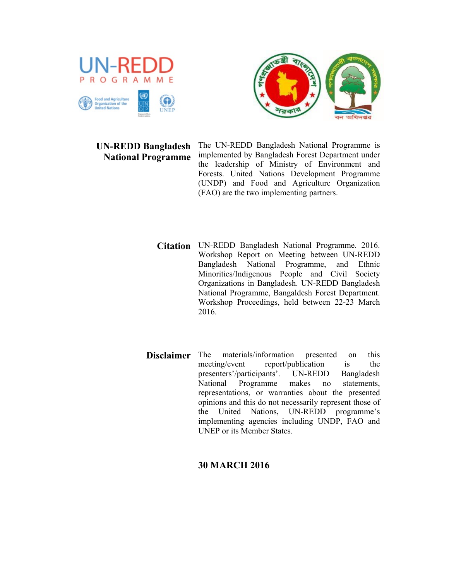

### **UN-REDD Bangladesh National Programme**

The UN-REDD Bangladesh National Programme is implemented by Bangladesh Forest Department under the leadership of Ministry of Environment and Forests. United Nations Development Programme (UNDP) and Food and Agriculture Organization (FAO) are the two implementing partners.

- **Citation** UN-REDD Bangladesh National Programme. 2016. Workshop Report on Meeting between UN-REDD Bangladesh National Programme, and Ethnic Minorities/Indigenous People and Civil Society Organizations in Bangladesh. UN-REDD Bangladesh National Programme, Bangaldesh Forest Department. Workshop Proceedings, held between 22-23 March 2016.
- **Disclaimer** The materials/information presented on this meeting/event report/publication is the report/publication presenters'/participants'. UN-REDD Bangladesh National Programme makes no statements, representations, or warranties about the presented opinions and this do not necessarily represent those of the United Nations, UN-REDD programme's implementing agencies including UNDP, FAO and UNEP or its Member States.

### **30 MARCH 2016**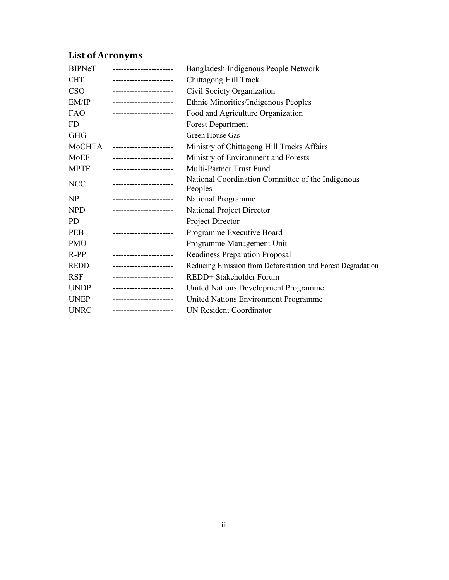# **List of Acronyms**

| <b>BIPNeT</b> | ----------------------- | Bangladesh Indigenous People Network                         |
|---------------|-------------------------|--------------------------------------------------------------|
| <b>CHT</b>    | _______________________ | Chittagong Hill Track                                        |
| <b>CSO</b>    | ----------------------  | Civil Society Organization                                   |
| EM/IP         | _______________________ | Ethnic Minorities/Indigenous Peoples                         |
| FAO           | _______________________ | Food and Agriculture Organization                            |
| FD            | _______________________ | <b>Forest Department</b>                                     |
| <b>GHG</b>    | ----------------------- | Green House Gas                                              |
| MoCHTA        | ______________________  | Ministry of Chittagong Hill Tracks Affairs                   |
| MoEF          | ----------------------  | Ministry of Environment and Forests                          |
| <b>MPTF</b>   | ----------------------- | Multi-Partner Trust Fund                                     |
| <b>NCC</b>    |                         | National Coordination Committee of the Indigenous<br>Peoples |
| NP            | _______________________ | National Programme                                           |
| <b>NPD</b>    | ----------------------  | National Project Director                                    |
| PD.           | ----------------------  | Project Director                                             |
| <b>PEB</b>    | ----------------------  | Programme Executive Board                                    |
| PMU           | ----------------------- | Programme Management Unit                                    |
| $R-PP$        | _______________________ | Readiness Preparation Proposal                               |
| <b>REDD</b>   | _______________________ | Reducing Emission from Deforestation and Forest Degradation  |
| <b>RSF</b>    | ----------------------  | REDD+ Stakeholder Forum                                      |
| <b>UNDP</b>   | _______________________ | United Nations Development Programme                         |
| <b>UNEP</b>   | ______________________  | United Nations Environment Programme                         |
| <b>UNRC</b>   | ----------------------- | <b>UN Resident Coordinator</b>                               |
|               |                         |                                                              |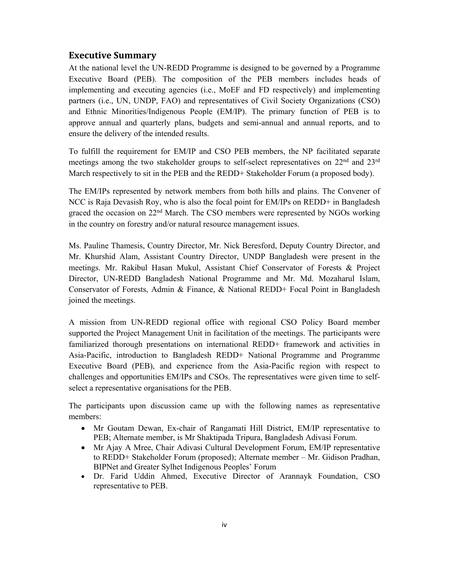#### **Executive Summary**

At the national level the UN-REDD Programme is designed to be governed by a Programme Executive Board (PEB). The composition of the PEB members includes heads of implementing and executing agencies (i.e., MoEF and FD respectively) and implementing partners (i.e., UN, UNDP, FAO) and representatives of Civil Society Organizations (CSO) and Ethnic Minorities/Indigenous People (EM/IP). The primary function of PEB is to approve annual and quarterly plans, budgets and semi-annual and annual reports, and to ensure the delivery of the intended results.

To fulfill the requirement for EM/IP and CSO PEB members, the NP facilitated separate meetings among the two stakeholder groups to self-select representatives on 22<sup>nd</sup> and 23<sup>rd</sup> March respectively to sit in the PEB and the REDD+ Stakeholder Forum (a proposed body).

The EM/IPs represented by network members from both hills and plains. The Convener of NCC is Raja Devasish Roy, who is also the focal point for EM/IPs on REDD+ in Bangladesh graced the occasion on  $22<sup>nd</sup>$  March. The CSO members were represented by NGOs working in the country on forestry and/or natural resource management issues.

Ms. Pauline Thamesis, Country Director, Mr. Nick Beresford, Deputy Country Director, and Mr. Khurshid Alam, Assistant Country Director, UNDP Bangladesh were present in the meetings. Mr. Rakibul Hasan Mukul, Assistant Chief Conservator of Forests & Project Director, UN-REDD Bangladesh National Programme and Mr. Md. Mozaharul Islam, Conservator of Forests, Admin & Finance, & National REDD+ Focal Point in Bangladesh joined the meetings.

A mission from UN-REDD regional office with regional CSO Policy Board member supported the Project Management Unit in facilitation of the meetings. The participants were familiarized thorough presentations on international REDD+ framework and activities in Asia-Pacific, introduction to Bangladesh REDD+ National Programme and Programme Executive Board (PEB), and experience from the Asia-Pacific region with respect to challenges and opportunities EM/IPs and CSOs. The representatives were given time to selfselect a representative organisations for the PEB.

The participants upon discussion came up with the following names as representative members:

- Mr Goutam Dewan, Ex-chair of Rangamati Hill District, EM/IP representative to PEB; Alternate member, is Mr Shaktipada Tripura, Bangladesh Adivasi Forum.
- Mr Ajay A Mree, Chair Adivasi Cultural Development Forum, EM/IP representative to REDD+ Stakeholder Forum (proposed); Alternate member – Mr. Gidison Pradhan, BIPNet and Greater Sylhet Indigenous Peoples' Forum
- Dr. Farid Uddin Ahmed, Executive Director of Arannayk Foundation, CSO representative to PEB.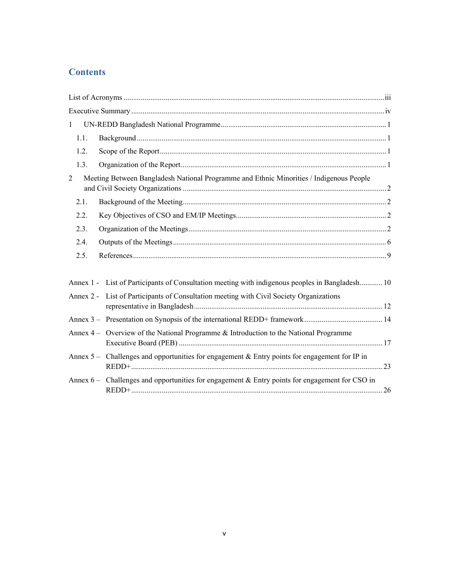### **Contents**

| $\mathbf{1}$   |            |                                                                                                 |  |
|----------------|------------|-------------------------------------------------------------------------------------------------|--|
|                | 1.1.       |                                                                                                 |  |
|                | 1.2.       |                                                                                                 |  |
|                | 1.3.       |                                                                                                 |  |
| $\overline{2}$ |            | Meeting Between Bangladesh National Programme and Ethnic Minorities / Indigenous People         |  |
|                | 2.1.       |                                                                                                 |  |
|                | 2.2.       |                                                                                                 |  |
|                | 2.3.       |                                                                                                 |  |
|                | 2.4.       |                                                                                                 |  |
|                | 2.5.       |                                                                                                 |  |
|                |            | Annex 1 - List of Participants of Consultation meeting with indigenous peoples in Bangladesh 10 |  |
|                |            | Annex 2 - List of Participants of Consultation meeting with Civil Society Organizations         |  |
|                |            |                                                                                                 |  |
|                |            | Annex 4 – Overview of the National Programme & Introduction to the National Programme           |  |
|                |            | Annex $5 -$ Challenges and opportunities for engagement & Entry points for engagement for IP in |  |
|                | Annex $6-$ | Challenges and opportunities for engagement & Entry points for engagement for CSO in            |  |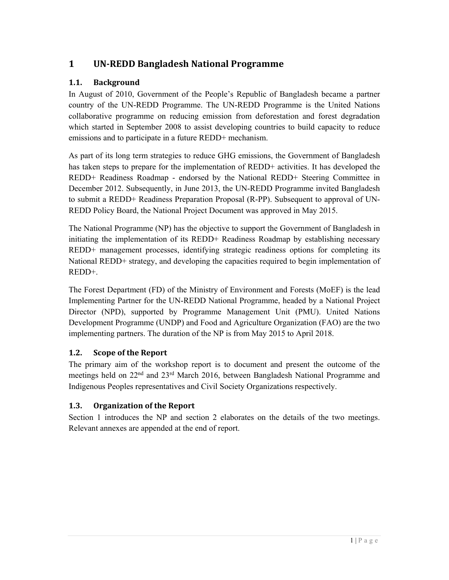### **1 UN‐REDD Bangladesh National Programme**

### 1.1. **Background**

In August of 2010, Government of the People's Republic of Bangladesh became a partner country of the UN-REDD Programme. The UN-REDD Programme is the United Nations collaborative programme on reducing emission from deforestation and forest degradation which started in September 2008 to assist developing countries to build capacity to reduce emissions and to participate in a future REDD+ mechanism.

As part of its long term strategies to reduce GHG emissions, the Government of Bangladesh has taken steps to prepare for the implementation of REDD+ activities. It has developed the REDD+ Readiness Roadmap - endorsed by the National REDD+ Steering Committee in December 2012. Subsequently, in June 2013, the UN-REDD Programme invited Bangladesh to submit a REDD+ Readiness Preparation Proposal (R-PP). Subsequent to approval of UN-REDD Policy Board, the National Project Document was approved in May 2015.

The National Programme (NP) has the objective to support the Government of Bangladesh in initiating the implementation of its REDD+ Readiness Roadmap by establishing necessary REDD+ management processes, identifying strategic readiness options for completing its National REDD+ strategy, and developing the capacities required to begin implementation of REDD+.

The Forest Department (FD) of the Ministry of Environment and Forests (MoEF) is the lead Implementing Partner for the UN-REDD National Programme, headed by a National Project Director (NPD), supported by Programme Management Unit (PMU). United Nations Development Programme (UNDP) and Food and Agriculture Organization (FAO) are the two implementing partners. The duration of the NP is from May 2015 to April 2018.

### **1.2. Scope of the Report**

The primary aim of the workshop report is to document and present the outcome of the meetings held on 22<sup>nd</sup> and 23<sup>rd</sup> March 2016, between Bangladesh National Programme and Indigenous Peoples representatives and Civil Society Organizations respectively.

### **1.3. Organization of the Report**

Section 1 introduces the NP and section 2 elaborates on the details of the two meetings. Relevant annexes are appended at the end of report.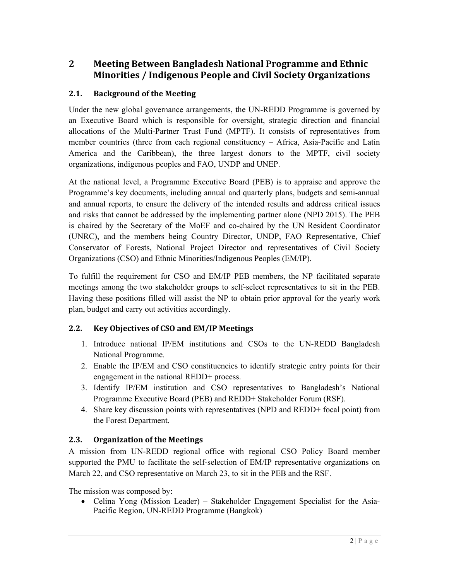### **2 Meeting Between Bangladesh National Programme and Ethnic Minorities / Indigenous People and Civil Society Organizations**

### **2.1. Background of the Meeting**

Under the new global governance arrangements, the UN-REDD Programme is governed by an Executive Board which is responsible for oversight, strategic direction and financial allocations of the Multi-Partner Trust Fund (MPTF). It consists of representatives from member countries (three from each regional constituency – Africa, Asia-Pacific and Latin America and the Caribbean), the three largest donors to the MPTF, civil society organizations, indigenous peoples and FAO, UNDP and UNEP.

At the national level, a Programme Executive Board (PEB) is to appraise and approve the Programme's key documents, including annual and quarterly plans, budgets and semi-annual and annual reports, to ensure the delivery of the intended results and address critical issues and risks that cannot be addressed by the implementing partner alone (NPD 2015). The PEB is chaired by the Secretary of the MoEF and co-chaired by the UN Resident Coordinator (UNRC), and the members being Country Director, UNDP, FAO Representative, Chief Conservator of Forests, National Project Director and representatives of Civil Society Organizations (CSO) and Ethnic Minorities/Indigenous Peoples (EM/IP).

To fulfill the requirement for CSO and EM/IP PEB members, the NP facilitated separate meetings among the two stakeholder groups to self-select representatives to sit in the PEB. Having these positions filled will assist the NP to obtain prior approval for the yearly work plan, budget and carry out activities accordingly.

### **2.2. Key Objectives of CSO and EM/IP Meetings**

- 1. Introduce national IP/EM institutions and CSOs to the UN-REDD Bangladesh National Programme.
- 2. Enable the IP/EM and CSO constituencies to identify strategic entry points for their engagement in the national REDD+ process.
- 3. Identify IP/EM institution and CSO representatives to Bangladesh's National Programme Executive Board (PEB) and REDD+ Stakeholder Forum (RSF).
- 4. Share key discussion points with representatives (NPD and REDD+ focal point) from the Forest Department.

#### **2.3. Organization of the Meetings**

A mission from UN-REDD regional office with regional CSO Policy Board member supported the PMU to facilitate the self-selection of EM/IP representative organizations on March 22, and CSO representative on March 23, to sit in the PEB and the RSF.

The mission was composed by:

• Celina Yong (Mission Leader) – Stakeholder Engagement Specialist for the Asia-Pacific Region, UN-REDD Programme (Bangkok)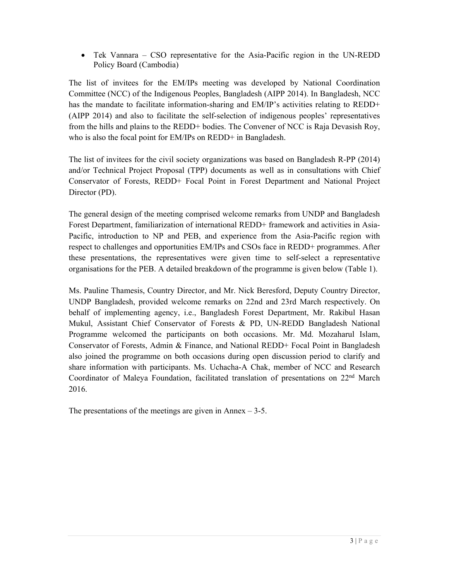Tek Vannara – CSO representative for the Asia-Pacific region in the UN-REDD Policy Board (Cambodia)

The list of invitees for the EM/IPs meeting was developed by National Coordination Committee (NCC) of the Indigenous Peoples, Bangladesh (AIPP 2014). In Bangladesh, NCC has the mandate to facilitate information-sharing and EM/IP's activities relating to REDD+ (AIPP 2014) and also to facilitate the self-selection of indigenous peoples' representatives from the hills and plains to the REDD+ bodies. The Convener of NCC is Raja Devasish Roy, who is also the focal point for EM/IPs on REDD+ in Bangladesh.

The list of invitees for the civil society organizations was based on Bangladesh R-PP (2014) and/or Technical Project Proposal (TPP) documents as well as in consultations with Chief Conservator of Forests, REDD+ Focal Point in Forest Department and National Project Director (PD).

The general design of the meeting comprised welcome remarks from UNDP and Bangladesh Forest Department, familiarization of international REDD+ framework and activities in Asia-Pacific, introduction to NP and PEB, and experience from the Asia-Pacific region with respect to challenges and opportunities EM/IPs and CSOs face in REDD+ programmes. After these presentations, the representatives were given time to self-select a representative organisations for the PEB. A detailed breakdown of the programme is given below (Table 1).

Ms. Pauline Thamesis, Country Director, and Mr. Nick Beresford, Deputy Country Director, UNDP Bangladesh, provided welcome remarks on 22nd and 23rd March respectively. On behalf of implementing agency, i.e., Bangladesh Forest Department, Mr. Rakibul Hasan Mukul, Assistant Chief Conservator of Forests & PD, UN-REDD Bangladesh National Programme welcomed the participants on both occasions. Mr. Md. Mozaharul Islam, Conservator of Forests, Admin & Finance, and National REDD+ Focal Point in Bangladesh also joined the programme on both occasions during open discussion period to clarify and share information with participants. Ms. Uchacha-A Chak, member of NCC and Research Coordinator of Maleya Foundation, facilitated translation of presentations on 22<sup>nd</sup> March 2016.

The presentations of the meetings are given in Annex  $-3-5$ .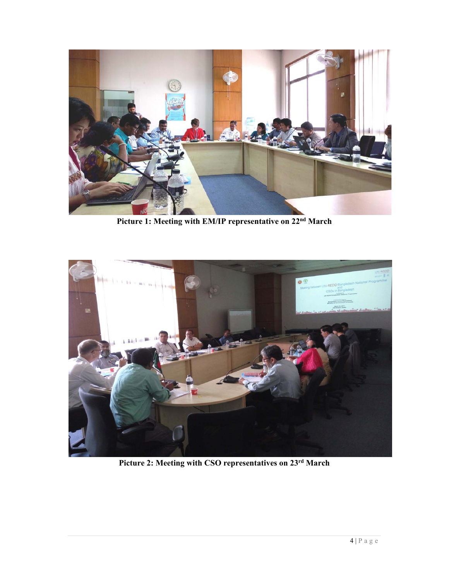

**Picture 1: Meeting with EM/IP representative on 22nd March** 



**Picture 2: Meeting with CSO representatives on 23rd March**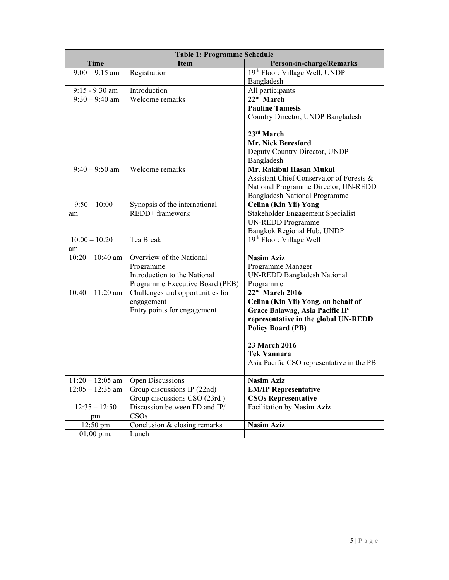| <b>Table 1: Programme Schedule</b> |                                  |                                           |  |
|------------------------------------|----------------------------------|-------------------------------------------|--|
| <b>Time</b>                        | <b>Item</b>                      | Person-in-charge/Remarks                  |  |
| $9:00 - 9:15$ am                   | Registration                     | 19th Floor: Village Well, UNDP            |  |
|                                    |                                  | Bangladesh                                |  |
| $9:15 - 9:30$ am                   | Introduction                     | All participants                          |  |
| $9:30 - 9:40$ am                   | Welcome remarks                  | 22 <sup>nd</sup> March                    |  |
|                                    |                                  | <b>Pauline Tamesis</b>                    |  |
|                                    |                                  | Country Director, UNDP Bangladesh         |  |
|                                    |                                  | $23rd$ March                              |  |
|                                    |                                  | <b>Mr. Nick Beresford</b>                 |  |
|                                    |                                  | Deputy Country Director, UNDP             |  |
|                                    |                                  | Bangladesh                                |  |
| $9:40 - 9:50$ am                   | Welcome remarks                  | Mr. Rakibul Hasan Mukul                   |  |
|                                    |                                  | Assistant Chief Conservator of Forests &  |  |
|                                    |                                  | National Programme Director, UN-REDD      |  |
|                                    |                                  | <b>Bangladesh National Programme</b>      |  |
| $9:50 - 10:00$                     | Synopsis of the international    | Celina (Kin Yii) Yong                     |  |
| am                                 | REDD+ framework                  | Stakeholder Engagement Specialist         |  |
|                                    |                                  | <b>UN-REDD Programme</b>                  |  |
|                                    |                                  | Bangkok Regional Hub, UNDP                |  |
| $10:00 - 10:20$                    | Tea Break                        | 19 <sup>th</sup> Floor: Village Well      |  |
| am                                 |                                  |                                           |  |
| $10:20 - 10:40$ am                 | Overview of the National         | <b>Nasim Aziz</b>                         |  |
|                                    | Programme                        | Programme Manager                         |  |
|                                    | Introduction to the National     | <b>UN-REDD Bangladesh National</b>        |  |
|                                    | Programme Executive Board (PEB)  | Programme                                 |  |
| $10:40 - 11:20$ am                 | Challenges and opportunities for | 22 <sup>nd</sup> March 2016               |  |
|                                    | engagement                       | Celina (Kin Yii) Yong, on behalf of       |  |
|                                    | Entry points for engagement      | Grace Balawag, Asia Pacific IP            |  |
|                                    |                                  | representative in the global UN-REDD      |  |
|                                    |                                  | <b>Policy Board (PB)</b>                  |  |
|                                    |                                  | 23 March 2016                             |  |
|                                    |                                  | Tek Vannara                               |  |
|                                    |                                  | Asia Pacific CSO representative in the PB |  |
|                                    |                                  |                                           |  |
| $11:20 - 12:05$ am                 | Open Discussions                 | <b>Nasim Aziz</b>                         |  |
| $12:05 - 12:35$ am                 | Group discussions IP (22nd)      | <b>EM/IP Representative</b>               |  |
|                                    | Group discussions CSO (23rd)     | <b>CSOs Representative</b>                |  |
| $12:35 - 12:50$                    | Discussion between FD and IP/    | Facilitation by Nasim Aziz                |  |
| pm                                 | CSOs                             |                                           |  |
| $12:50 \text{ pm}$                 | Conclusion & closing remarks     | <b>Nasim Aziz</b>                         |  |
| $01:00$ p.m.                       | Lunch                            |                                           |  |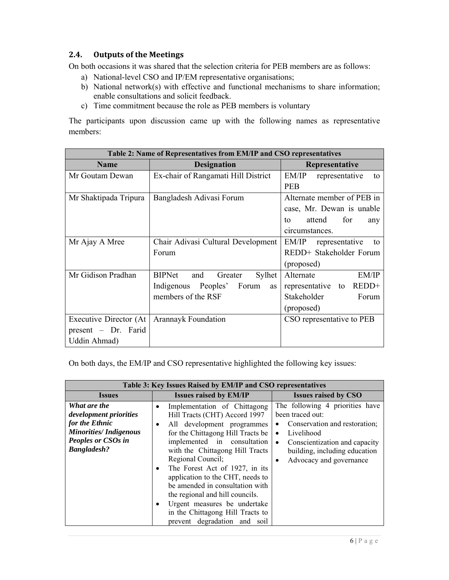#### **2.4. Outputs of the Meetings**

On both occasions it was shared that the selection criteria for PEB members are as follows:

- a) National-level CSO and IP/EM representative organisations;
- b) National network(s) with effective and functional mechanisms to share information; enable consultations and solicit feedback.
- c) Time commitment because the role as PEB members is voluntary

The participants upon discussion came up with the following names as representative members:

| Table 2: Name of Representatives from EM/IP and CSO representatives |                                           |                               |  |
|---------------------------------------------------------------------|-------------------------------------------|-------------------------------|--|
| <b>Name</b>                                                         | <b>Designation</b>                        | Representative                |  |
| Mr Goutam Dewan                                                     | Ex-chair of Rangamati Hill District       | EM/IP<br>representative<br>to |  |
|                                                                     |                                           | <b>PEB</b>                    |  |
| Mr Shaktipada Tripura                                               | Bangladesh Adivasi Forum                  | Alternate member of PEB in    |  |
|                                                                     |                                           | case, Mr. Dewan is unable     |  |
|                                                                     |                                           | attend<br>for<br>tο<br>any    |  |
|                                                                     |                                           | circumstances.                |  |
| Mr Ajay A Mree                                                      | Chair Adivasi Cultural Development        | EM/IP<br>representative<br>to |  |
|                                                                     | Forum                                     | REDD+ Stakeholder Forum       |  |
|                                                                     |                                           | (proposed)                    |  |
| Mr Gidison Pradhan                                                  | <b>BIPNet</b><br>Sylhet<br>and<br>Greater | Alternate<br>EM/IP            |  |
|                                                                     | Indigenous Peoples' Forum<br>as           | representative to REDD+       |  |
|                                                                     | members of the RSF                        | Stakeholder<br>Forum          |  |
|                                                                     |                                           | (proposed)                    |  |
| Executive Director (At                                              | <b>Arannayk Foundation</b>                | CSO representative to PEB     |  |
| $present$ - Dr. Farid                                               |                                           |                               |  |
| Uddin Ahmad)                                                        |                                           |                               |  |

On both days, the EM/IP and CSO representative highlighted the following key issues:

| Table 3: Key Issues Raised by EM/IP and CSO representatives                                                                          |                                                                                                                                                                                                                                                                                                                                                                                                                                                                                                   |                                                                                                                                                                                                                                        |  |  |
|--------------------------------------------------------------------------------------------------------------------------------------|---------------------------------------------------------------------------------------------------------------------------------------------------------------------------------------------------------------------------------------------------------------------------------------------------------------------------------------------------------------------------------------------------------------------------------------------------------------------------------------------------|----------------------------------------------------------------------------------------------------------------------------------------------------------------------------------------------------------------------------------------|--|--|
| <b>Issues</b>                                                                                                                        | <b>Issues raised by EM/IP</b>                                                                                                                                                                                                                                                                                                                                                                                                                                                                     | <b>Issues raised by CSO</b>                                                                                                                                                                                                            |  |  |
| What are the<br>development priorities<br>for the Ethnic<br><b>Minorities/Indigenous</b><br>Peoples or CSOs in<br><b>Bangladesh?</b> | Implementation of Chittagong<br>Hill Tracts (CHT) Accord 1997<br>All development programmes<br>$\bullet$<br>for the Chittagong Hill Tracts be<br>implemented in consultation<br>with the Chittagong Hill Tracts<br>Regional Council;<br>The Forest Act of 1927, in its<br>$\bullet$<br>application to the CHT, needs to<br>be amended in consultation with<br>the regional and hill councils.<br>Urgent measures be undertake<br>in the Chittagong Hill Tracts to<br>prevent degradation and soil | The following 4 priorities have<br>been traced out:<br>Conservation and restoration;<br>Livelihood<br>$\bullet$<br>Conscientization and capacity<br>$\bullet$<br>building, including education<br>Advocacy and governance<br>$\bullet$ |  |  |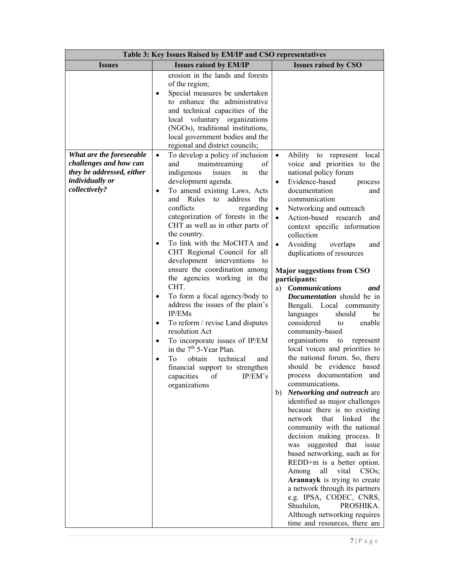| Table 3: Key Issues Raised by EM/IP and CSO representatives                                                                |                                                                                                                                                                                                                                                                                                                                                                                                                                                                                                                                                                                                                                                                                                                                                                                                                                                                                                                                                                                                                                                    |                                                                                                                                                                                                                                                                                                                                                                                                                                                                                                                                                                                                                                                                                          |  |  |
|----------------------------------------------------------------------------------------------------------------------------|----------------------------------------------------------------------------------------------------------------------------------------------------------------------------------------------------------------------------------------------------------------------------------------------------------------------------------------------------------------------------------------------------------------------------------------------------------------------------------------------------------------------------------------------------------------------------------------------------------------------------------------------------------------------------------------------------------------------------------------------------------------------------------------------------------------------------------------------------------------------------------------------------------------------------------------------------------------------------------------------------------------------------------------------------|------------------------------------------------------------------------------------------------------------------------------------------------------------------------------------------------------------------------------------------------------------------------------------------------------------------------------------------------------------------------------------------------------------------------------------------------------------------------------------------------------------------------------------------------------------------------------------------------------------------------------------------------------------------------------------------|--|--|
| <b>Issues</b>                                                                                                              | <b>Issues raised by EM/IP</b>                                                                                                                                                                                                                                                                                                                                                                                                                                                                                                                                                                                                                                                                                                                                                                                                                                                                                                                                                                                                                      | <b>Issues raised by CSO</b>                                                                                                                                                                                                                                                                                                                                                                                                                                                                                                                                                                                                                                                              |  |  |
| What are the foreseeable<br>challenges and how can<br>they be addressed, either<br><i>individually or</i><br>collectively? | erosion in the lands and forests<br>of the region;<br>Special measures be undertaken<br>to enhance the administrative<br>and technical capacities of the<br>local voluntary organizations<br>(NGOs), traditional institutions,<br>local government bodies and the<br>regional and district councils;<br>To develop a policy of inclusion<br>$\bullet$<br>mainstreaming<br>and<br>of<br>indigenous<br>issues<br>the<br>in<br>development agenda.<br>To amend existing Laws, Acts<br>and Rules<br>the<br>address<br>to<br>conflicts<br>regarding<br>categorization of forests in the<br>CHT as well as in other parts of<br>the country.<br>To link with the MoCHTA and<br>CHT Regional Council for all<br>development interventions<br>to<br>ensure the coordination among<br>the agencies working in the<br>CHT.<br>To form a focal agency/body to<br>address the issues of the plain's<br>IP/EMs<br>To reform / revise Land disputes<br>٠<br>resolution Act<br>To incorporate issues of IP/EM<br>$\bullet$<br>in the 7 <sup>th</sup> 5-Year Plan. | Ability to represent local<br>$\bullet$<br>voice and priorities to the<br>national policy forum<br>Evidence-based<br>process<br>documentation<br>and<br>communication<br>Networking and outreach<br>$\bullet$<br>Action-based research and<br>$\bullet$<br>context specific information<br>collection<br>Avoiding<br>overlaps<br>$\bullet$<br>and<br>duplications of resources<br><b>Major suggestions from CSO</b><br>participants:<br><b>Communications</b><br>and<br>a)<br>Documentation should be in<br>Bengali. Local community<br>languages<br>should<br>be<br>considered<br>enable<br>to<br>community-based<br>organisations<br>to<br>represent<br>local voices and priorities to |  |  |
|                                                                                                                            | obtain<br>technical<br>Tо<br>and<br>$\bullet$<br>financial support to strengthen                                                                                                                                                                                                                                                                                                                                                                                                                                                                                                                                                                                                                                                                                                                                                                                                                                                                                                                                                                   | the national forum. So, there<br>should be evidence based                                                                                                                                                                                                                                                                                                                                                                                                                                                                                                                                                                                                                                |  |  |
|                                                                                                                            | capacities of IP/EM's<br>organizations                                                                                                                                                                                                                                                                                                                                                                                                                                                                                                                                                                                                                                                                                                                                                                                                                                                                                                                                                                                                             | process documentation and<br>communications.<br>b) Networking and outreach are<br>identified as major challenges                                                                                                                                                                                                                                                                                                                                                                                                                                                                                                                                                                         |  |  |
|                                                                                                                            |                                                                                                                                                                                                                                                                                                                                                                                                                                                                                                                                                                                                                                                                                                                                                                                                                                                                                                                                                                                                                                                    | because there is no existing<br>network that linked<br>the<br>community with the national<br>decision making process. It                                                                                                                                                                                                                                                                                                                                                                                                                                                                                                                                                                 |  |  |
|                                                                                                                            |                                                                                                                                                                                                                                                                                                                                                                                                                                                                                                                                                                                                                                                                                                                                                                                                                                                                                                                                                                                                                                                    | suggested that issue<br>was<br>based networking, such as for<br>REDD+m is a better option.<br>all<br>vital CSOs;<br>Among                                                                                                                                                                                                                                                                                                                                                                                                                                                                                                                                                                |  |  |
|                                                                                                                            |                                                                                                                                                                                                                                                                                                                                                                                                                                                                                                                                                                                                                                                                                                                                                                                                                                                                                                                                                                                                                                                    | Arannayk is trying to create<br>a network through its partners<br>e.g. IPSA, CODEC, CNRS,<br>Shushilon,<br>PROSHIKA.                                                                                                                                                                                                                                                                                                                                                                                                                                                                                                                                                                     |  |  |
|                                                                                                                            |                                                                                                                                                                                                                                                                                                                                                                                                                                                                                                                                                                                                                                                                                                                                                                                                                                                                                                                                                                                                                                                    | Although networking requires<br>time and resources, there are                                                                                                                                                                                                                                                                                                                                                                                                                                                                                                                                                                                                                            |  |  |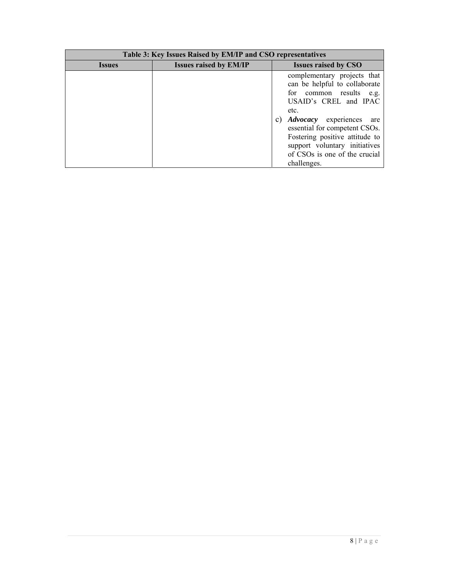| Table 3: Key Issues Raised by EM/IP and CSO representatives |                               |                                                                                                                                                                                                                                                                                                                       |  |
|-------------------------------------------------------------|-------------------------------|-----------------------------------------------------------------------------------------------------------------------------------------------------------------------------------------------------------------------------------------------------------------------------------------------------------------------|--|
| <i><u><b>Issues</b></u></i>                                 | <b>Issues raised by EM/IP</b> | <b>Issues raised by CSO</b>                                                                                                                                                                                                                                                                                           |  |
|                                                             |                               | complementary projects that<br>can be helpful to collaborate<br>for common results e.g.<br>USAID's CREL and IPAC<br>etc.<br><i>Advocacy</i> experiences are<br>C)<br>essential for competent CSOs.<br>Fostering positive attitude to<br>support voluntary initiatives<br>of CSOs is one of the crucial<br>challenges. |  |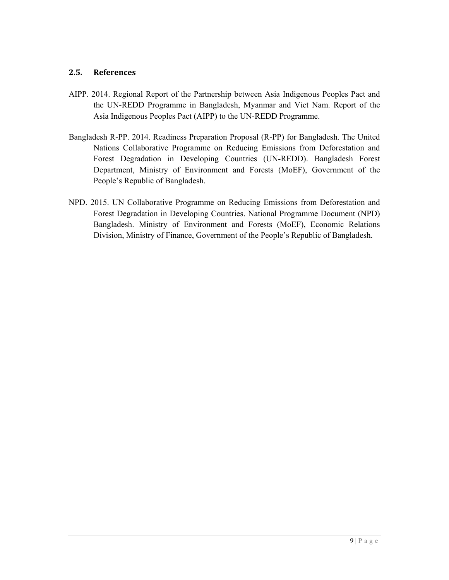#### **2.5. References**

- AIPP. 2014. Regional Report of the Partnership between Asia Indigenous Peoples Pact and the UN-REDD Programme in Bangladesh, Myanmar and Viet Nam. Report of the Asia Indigenous Peoples Pact (AIPP) to the UN-REDD Programme.
- Bangladesh R-PP. 2014. Readiness Preparation Proposal (R-PP) for Bangladesh. The United Nations Collaborative Programme on Reducing Emissions from Deforestation and Forest Degradation in Developing Countries (UN-REDD). Bangladesh Forest Department, Ministry of Environment and Forests (MoEF), Government of the People's Republic of Bangladesh.
- NPD. 2015. UN Collaborative Programme on Reducing Emissions from Deforestation and Forest Degradation in Developing Countries. National Programme Document (NPD) Bangladesh. Ministry of Environment and Forests (MoEF), Economic Relations Division, Ministry of Finance, Government of the People's Republic of Bangladesh.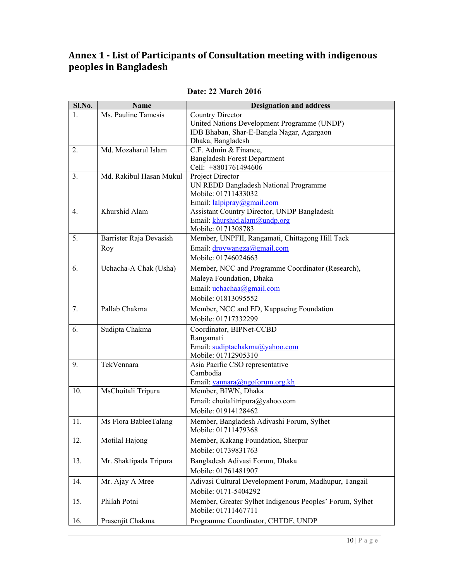### **Annex 1 ‐ List of Participants of Consultation meeting with indigenous peoples in Bangladesh**

| Sl.No. | Name                    | <b>Designation and address</b>                              |  |
|--------|-------------------------|-------------------------------------------------------------|--|
| 1.     | Ms. Pauline Tamesis     | <b>Country Director</b>                                     |  |
|        |                         | United Nations Development Programme (UNDP)                 |  |
|        |                         | IDB Bhaban, Shar-E-Bangla Nagar, Agargaon                   |  |
|        |                         | Dhaka, Bangladesh                                           |  |
| 2.     | Md. Mozaharul Islam     | C.F. Admin & Finance,                                       |  |
|        |                         | <b>Bangladesh Forest Department</b><br>Cell: +8801761494606 |  |
| 3.     | Md. Rakibul Hasan Mukul | Project Director                                            |  |
|        |                         | UN REDD Bangladesh National Programme                       |  |
|        |                         | Mobile: 01711433032                                         |  |
|        |                         | Email: lalpipray@gmail.com                                  |  |
| 4.     | Khurshid Alam           | Assistant Country Director, UNDP Bangladesh                 |  |
|        |                         | Email: khurshid.alam@undp.org                               |  |
|        |                         | Mobile: 0171308783                                          |  |
| 5.     | Barrister Raja Devasish | Member, UNPFII, Rangamati, Chittagong Hill Tack             |  |
|        | Roy                     | Email: droywangza@gmail.com                                 |  |
|        |                         | Mobile: 01746024663                                         |  |
| 6.     | Uchacha-A Chak (Usha)   | Member, NCC and Programme Coordinator (Research),           |  |
|        |                         | Maleya Foundation, Dhaka                                    |  |
|        |                         | Email: $uchacha@gmail.com$                                  |  |
|        |                         | Mobile: 01813095552                                         |  |
| 7.     | Pallab Chakma           | Member, NCC and ED, Kappaeing Foundation                    |  |
|        |                         | Mobile: 01717332299                                         |  |
| 6.     | Sudipta Chakma          | Coordinator, BIPNet-CCBD                                    |  |
|        |                         | Rangamati                                                   |  |
|        |                         | Email: sudiptachakma@yahoo.com                              |  |
|        |                         | Mobile: 01712905310                                         |  |
| 9.     | TekVennara              | Asia Pacific CSO representative                             |  |
|        |                         | Cambodia                                                    |  |
|        |                         | Email: vannara@ngoforum.org.kh                              |  |
| 10.    | MsChoitali Tripura      | Member, BIWN, Dhaka                                         |  |
|        |                         | Email: choitalitripura@yahoo.com                            |  |
|        |                         | Mobile: 01914128462                                         |  |
| 11.    | Ms Flora BableeTalang   | Member, Bangladesh Adivashi Forum, Sylhet                   |  |
|        |                         | Mobile: 01711479368                                         |  |
| 12.    | Motilal Hajong          | Member, Kakang Foundation, Sherpur                          |  |
|        |                         | Mobile: 01739831763                                         |  |
| 13.    | Mr. Shaktipada Tripura  | Bangladesh Adivasi Forum, Dhaka                             |  |
|        |                         | Mobile: 01761481907                                         |  |
| 14.    | Mr. Ajay A Mree         | Adivasi Cultural Development Forum, Madhupur, Tangail       |  |
|        |                         | Mobile: 0171-5404292                                        |  |
| 15.    | Philah Potni            | Member, Greater Sylhet Indigenous Peoples' Forum, Sylhet    |  |
|        |                         | Mobile: 01711467711                                         |  |
| 16.    | Prasenjit Chakma        | Programme Coordinator, CHTDF, UNDP                          |  |

#### **Date: 22 March 2016**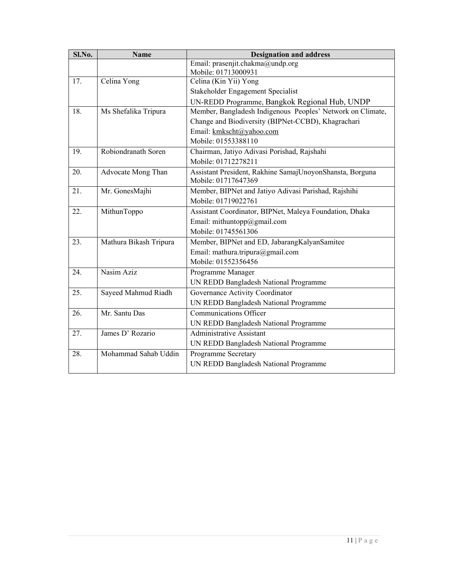| Sl.No. | <b>Name</b>            | <b>Designation and address</b>                             |  |
|--------|------------------------|------------------------------------------------------------|--|
|        |                        | Email: prasenjit.chakma@undp.org                           |  |
|        |                        | Mobile: 01713000931                                        |  |
| 17.    | Celina Yong            | Celina (Kin Yii) Yong                                      |  |
|        |                        | Stakeholder Engagement Specialist                          |  |
|        |                        | UN-REDD Programme, Bangkok Regional Hub, UNDP              |  |
| 18.    | Ms Shefalika Tripura   | Member, Bangladesh Indigenous Peoples' Network on Climate, |  |
|        |                        | Change and Biodiversity (BIPNet-CCBD), Khagrachari         |  |
|        |                        | Email: kmkscht@yahoo.com                                   |  |
|        |                        | Mobile: 01553388110                                        |  |
| 19.    | Robiondranath Soren    | Chairman, Jatiyo Adivasi Porishad, Rajshahi                |  |
|        |                        | Mobile: 01712278211                                        |  |
| 20.    | Advocate Mong Than     | Assistant President, Rakhine SamajUnoyonShansta, Borguna   |  |
|        |                        | Mobile: 01717647369                                        |  |
| 21.    | Mr. GonesMajhi         | Member, BIPNet and Jatiyo Adivasi Parishad, Rajshihi       |  |
|        |                        | Mobile: 01719022761                                        |  |
| 22.    | MithunToppo            | Assistant Coordinator, BIPNet, Maleya Foundation, Dhaka    |  |
|        |                        | Email: mithuntopp@gmail.com                                |  |
|        |                        | Mobile: 01745561306                                        |  |
| 23.    | Mathura Bikash Tripura | Member, BIPNet and ED, JabarangKalyanSamitee               |  |
|        |                        | Email: mathura.tripura@gmail.com                           |  |
|        |                        | Mobile: 01552356456                                        |  |
| 24.    | Nasim Aziz             | Programme Manager                                          |  |
|        |                        | UN REDD Bangladesh National Programme                      |  |
| 25.    | Sayeed Mahmud Riadh    | Governance Activity Coordinator                            |  |
|        |                        | UN REDD Bangladesh National Programme                      |  |
| 26.    | Mr. Santu Das          | <b>Communications Officer</b>                              |  |
|        |                        | UN REDD Bangladesh National Programme                      |  |
| 27.    | James D' Rozario       | <b>Administrative Assistant</b>                            |  |
|        |                        | UN REDD Bangladesh National Programme                      |  |
| 28.    | Mohammad Sahab Uddin   | Programme Secretary                                        |  |
|        |                        | UN REDD Bangladesh National Programme                      |  |
|        |                        |                                                            |  |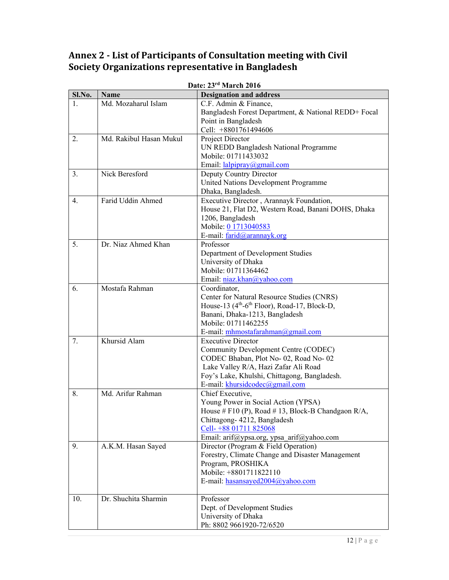## **Annex 2 ‐ List of Participants of Consultation meeting with Civil Society Organizations representative in Bangladesh**

|        | Date: 23 <sup>'s</sup> March 2016 |                                                                      |  |  |
|--------|-----------------------------------|----------------------------------------------------------------------|--|--|
| Sl.No. | Name<br>Md. Mozaharul Islam       | <b>Designation and address</b>                                       |  |  |
| 1.     |                                   | C.F. Admin & Finance,                                                |  |  |
|        |                                   | Bangladesh Forest Department, & National REDD+ Focal                 |  |  |
|        |                                   | Point in Bangladesh                                                  |  |  |
|        |                                   | Cell: +8801761494606                                                 |  |  |
| 2.     | Md. Rakibul Hasan Mukul           | Project Director                                                     |  |  |
|        |                                   | UN REDD Bangladesh National Programme                                |  |  |
|        |                                   | Mobile: 01711433032                                                  |  |  |
|        |                                   | Email: lalpipray@gmail.com                                           |  |  |
| 3.     | Nick Beresford                    | Deputy Country Director                                              |  |  |
|        |                                   | United Nations Development Programme                                 |  |  |
|        |                                   | Dhaka, Bangladesh.                                                   |  |  |
| 4.     | Farid Uddin Ahmed                 | Executive Director, Arannayk Foundation,                             |  |  |
|        |                                   | House 21, Flat D2, Western Road, Banani DOHS, Dhaka                  |  |  |
|        |                                   | 1206, Bangladesh                                                     |  |  |
|        |                                   | Mobile: 0 1713040583                                                 |  |  |
|        |                                   | E-mail: farid@arannayk.org                                           |  |  |
| 5.     | Dr. Niaz Ahmed Khan               | Professor                                                            |  |  |
|        |                                   | Department of Development Studies                                    |  |  |
|        |                                   | University of Dhaka                                                  |  |  |
|        |                                   | Mobile: 01711364462                                                  |  |  |
|        |                                   | Email: niaz.khan@yahoo.com                                           |  |  |
| 6.     | Mostafa Rahman                    | Coordinator,                                                         |  |  |
|        |                                   | Center for Natural Resource Studies (CNRS)                           |  |  |
|        |                                   | House-13 (4 <sup>th</sup> -6 <sup>th</sup> Floor), Road-17, Block-D, |  |  |
|        |                                   | Banani, Dhaka-1213, Bangladesh                                       |  |  |
|        |                                   | Mobile: 01711462255                                                  |  |  |
|        |                                   | E-mail: mhmostafarahman@gmail.com                                    |  |  |
| 7.     | Khursid Alam                      | <b>Executive Director</b>                                            |  |  |
|        |                                   | Community Development Centre (CODEC)                                 |  |  |
|        |                                   | CODEC Bhaban, Plot No-02, Road No-02                                 |  |  |
|        |                                   | Lake Valley R/A, Hazi Zafar Ali Road                                 |  |  |
|        |                                   | Foy's Lake, Khulshi, Chittagong, Bangladesh.                         |  |  |
|        |                                   | E-mail: khursidcodec@gmail.com                                       |  |  |
| 8.     | Md. Arifur Rahman                 | Chief Executive,                                                     |  |  |
|        |                                   | Young Power in Social Action (YPSA)                                  |  |  |
|        |                                   | House # F10 (P), Road # 13, Block-B Chandgaon R/A,                   |  |  |
|        |                                   | Chittagong- 4212, Bangladesh                                         |  |  |
|        |                                   | Cell-+88 01711 825068                                                |  |  |
|        |                                   | Email: arif@ypsa.org, ypsa arif@yahoo.com                            |  |  |
| 9.     | A.K.M. Hasan Sayed                | Director (Program & Field Operation)                                 |  |  |
|        |                                   | Forestry, Climate Change and Disaster Management                     |  |  |
|        |                                   | Program, PROSHIKA                                                    |  |  |
|        |                                   | Mobile: +8801711822110                                               |  |  |
|        |                                   | E-mail: hasansayed2004@yahoo.com                                     |  |  |
|        |                                   |                                                                      |  |  |
| 10.    | Dr. Shuchita Sharmin              | Professor                                                            |  |  |
|        |                                   | Dept. of Development Studies                                         |  |  |
|        |                                   | University of Dhaka                                                  |  |  |
|        |                                   | Ph: 8802 9661920-72/6520                                             |  |  |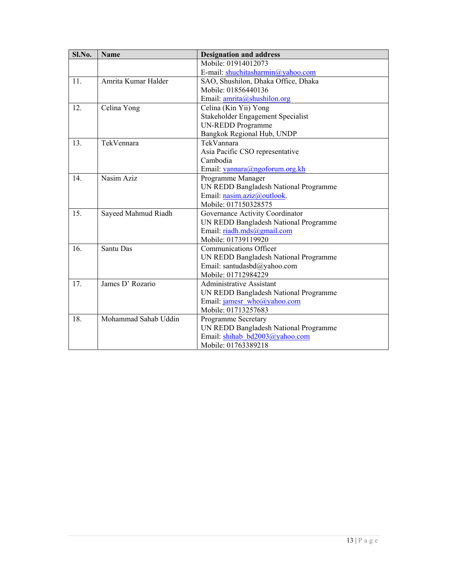| Sl.No. | <b>Name</b>          | <b>Designation and address</b>        |  |
|--------|----------------------|---------------------------------------|--|
|        |                      | Mobile: 01914012073                   |  |
|        |                      | E-mail: shuchitasharmin@yahoo.com     |  |
| 11.    | Amrita Kumar Halder  | SAO, Shushilon, Dhaka Office, Dhaka   |  |
|        |                      | Mobile: 01856440136                   |  |
|        |                      | Email: $amrita@shushilon.org$         |  |
| 12.    | Celina Yong          | Celina (Kin Yii) Yong                 |  |
|        |                      | Stakeholder Engagement Specialist     |  |
|        |                      | <b>UN-REDD Programme</b>              |  |
|        |                      | Bangkok Regional Hub, UNDP            |  |
| 13.    | TekVennara           | TekVannara                            |  |
|        |                      | Asia Pacific CSO representative       |  |
|        |                      | Cambodia                              |  |
|        |                      | Email: vannara@ngoforum.org.kh        |  |
| 14.    | Nasim Aziz           | Programme Manager                     |  |
|        |                      | UN REDD Bangladesh National Programme |  |
|        |                      | Email: nasim.aziz@outlook.            |  |
|        |                      | Mobile: 017150328575                  |  |
| 15.    | Sayeed Mahmud Riadh  | Governance Activity Coordinator       |  |
|        |                      | UN REDD Bangladesh National Programme |  |
|        |                      | Email: riadh.mds@gmail.com            |  |
|        |                      | Mobile: 01739119920                   |  |
| 16.    | Santu Das            | Communications Officer                |  |
|        |                      | UN REDD Bangladesh National Programme |  |
|        |                      | Email: santudasbd@yahoo.com           |  |
|        |                      | Mobile: 01712984229                   |  |
| 17.    | James D' Rozario     | <b>Administrative Assistant</b>       |  |
|        |                      | UN REDD Bangladesh National Programme |  |
|        |                      | Email: jamesr who@yahoo.com           |  |
|        |                      | Mobile: 01713257683                   |  |
| 18.    | Mohammad Sahab Uddin | Programme Secretary                   |  |
|        |                      | UN REDD Bangladesh National Programme |  |
|        |                      | Email: shihab bd2003@yahoo.com        |  |
|        |                      | Mobile: 01763389218                   |  |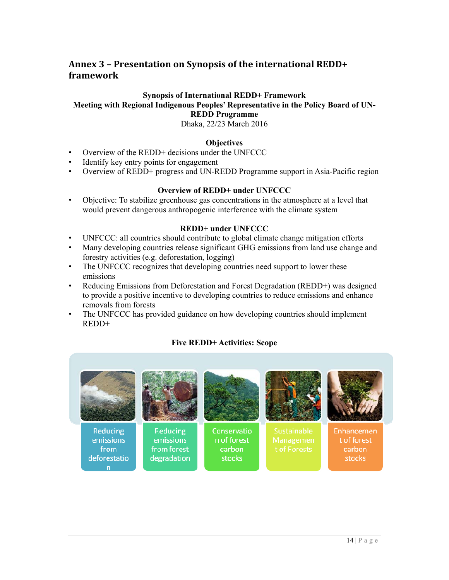### **Annex 3 – Presentation on Synopsis of the international REDD+ framework**

#### **Synopsis of International REDD+ Framework**

#### **Meeting with Regional Indigenous Peoples' Representative in the Policy Board of UN-REDD Programme**

Dhaka, 22/23 March 2016

#### **Objectives**

- Overview of the REDD+ decisions under the UNFCCC
- Identify key entry points for engagement
- Overview of REDD+ progress and UN-REDD Programme support in Asia-Pacific region

#### **Overview of REDD+ under UNFCCC**

• Objective: To stabilize greenhouse gas concentrations in the atmosphere at a level that would prevent dangerous anthropogenic interference with the climate system

#### **REDD+ under UNFCCC**

- UNFCCC: all countries should contribute to global climate change mitigation efforts
- Many developing countries release significant GHG emissions from land use change and forestry activities (e.g. deforestation, logging)
- The UNFCCC recognizes that developing countries need support to lower these emissions
- Reducing Emissions from Deforestation and Forest Degradation (REDD+) was designed to provide a positive incentive to developing countries to reduce emissions and enhance removals from forests
- The UNFCCC has provided guidance on how developing countries should implement REDD+

#### **Five REDD+ Activities: Scope**

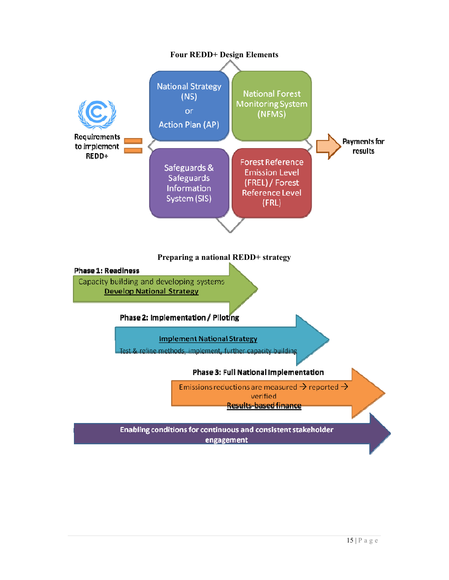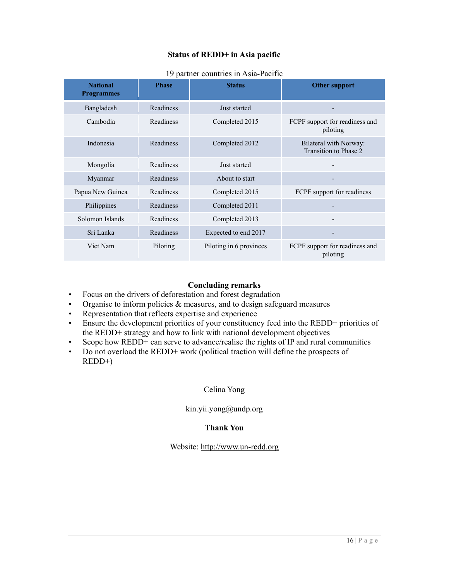#### **Status of REDD+ in Asia pacific**

| <b>National</b><br><b>Programmes</b> | <b>Phase</b>     | <b>Status</b>           | <b>Other support</b>                            |  |
|--------------------------------------|------------------|-------------------------|-------------------------------------------------|--|
| Bangladesh                           | Readiness        | Just started            |                                                 |  |
| Cambodia                             | Readiness        | Completed 2015          | FCPF support for readiness and<br>piloting      |  |
| Indonesia                            | <b>Readiness</b> | Completed 2012          | Bilateral with Norway:<br>Transition to Phase 2 |  |
| Mongolia                             | Readiness        | Just started            | $\overline{\phantom{a}}$                        |  |
| Myanmar                              | Readiness        | About to start          |                                                 |  |
| Papua New Guinea                     | <b>Readiness</b> | Completed 2015          | FCPF support for readiness                      |  |
| Philippines                          | Readiness        | Completed 2011          |                                                 |  |
| Solomon Islands                      | Readiness        | Completed 2013          |                                                 |  |
| Sri Lanka                            | Readiness        | Expected to end 2017    | -                                               |  |
| Viet Nam                             | Piloting         | Piloting in 6 provinces | FCPF support for readiness and<br>piloting      |  |

#### 19 partner countries in Asia-Pacific

#### **Concluding remarks**

- Focus on the drivers of deforestation and forest degradation
- Organise to inform policies & measures, and to design safeguard measures
- Representation that reflects expertise and experience
- Ensure the development priorities of your constituency feed into the REDD+ priorities of the REDD+ strategy and how to link with national development objectives
- Scope how REDD+ can serve to advance/realise the rights of IP and rural communities
- Do not overload the REDD+ work (political traction will define the prospects of REDD+)

#### Celina Yong

#### kin.yii.yong@undp.org

#### **Thank You**

#### Website: http://www.un-redd.org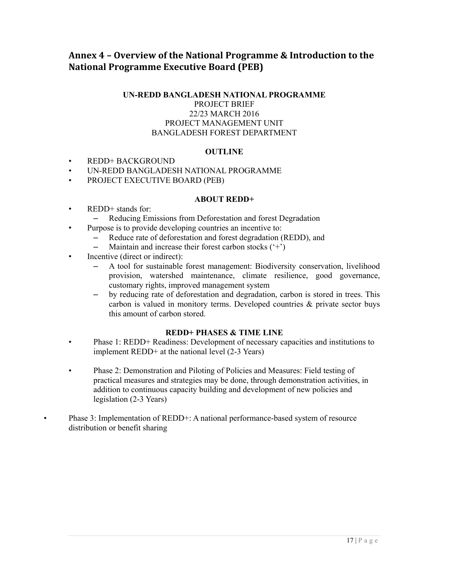### **Annex 4 – Overview of the National Programme & Introduction to the National Programme Executive Board (PEB)**

#### **UN-REDD BANGLADESH NATIONAL PROGRAMME** PROJECT BRIEF 22/23 MARCH 2016 PROJECT MANAGEMENT UNIT BANGLADESH FOREST DEPARTMENT

#### **OUTLINE**

- REDD+ BACKGROUND
- UN-REDD BANGLADESH NATIONAL PROGRAMME
- PROJECT EXECUTIVE BOARD (PEB)

#### **ABOUT REDD+**

- REDD<sup>+</sup> stands for:
	- Reducing Emissions from Deforestation and forest Degradation
- Purpose is to provide developing countries an incentive to:
	- Reduce rate of deforestation and forest degradation (REDD), and
	- Maintain and increase their forest carbon stocks  $(2^+)$
- Incentive (direct or indirect):
	- A tool for sustainable forest management: Biodiversity conservation, livelihood provision, watershed maintenance, climate resilience, good governance, customary rights, improved management system
	- by reducing rate of deforestation and degradation, carbon is stored in trees. This carbon is valued in monitory terms. Developed countries & private sector buys this amount of carbon stored.

#### **REDD+ PHASES & TIME LINE**

- Phase 1: REDD+ Readiness: Development of necessary capacities and institutions to implement REDD+ at the national level (2-3 Years)
- Phase 2: Demonstration and Piloting of Policies and Measures: Field testing of practical measures and strategies may be done, through demonstration activities, in addition to continuous capacity building and development of new policies and legislation (2-3 Years)
- Phase 3: Implementation of REDD+: A national performance-based system of resource distribution or benefit sharing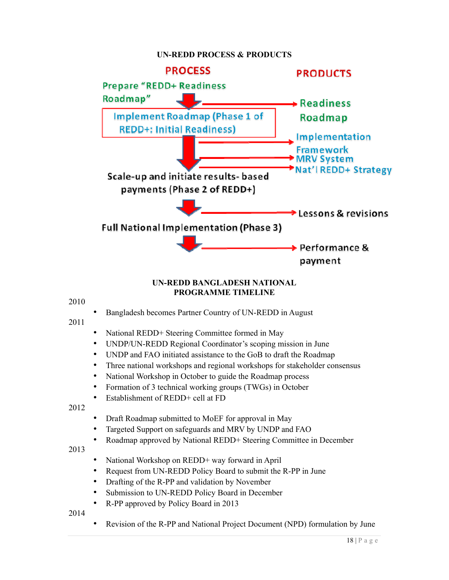#### **UN-REDD PROCESS & PRODUCTS**



#### **UN-REDD BANGLADESH NATIONAL PROGRAMME TIMELINE**

#### 2010

• Bangladesh becomes Partner Country of UN-REDD in August

#### 2011

- National REDD+ Steering Committee formed in May
- UNDP/UN-REDD Regional Coordinator's scoping mission in June
- UNDP and FAO initiated assistance to the GoB to draft the Roadmap
- Three national workshops and regional workshops for stakeholder consensus
- National Workshop in October to guide the Roadmap process
- Formation of 3 technical working groups (TWGs) in October
- Establishment of REDD+ cell at FD

2012

- Draft Roadmap submitted to MoEF for approval in May
- Targeted Support on safeguards and MRV by UNDP and FAO
- Roadmap approved by National REDD+ Steering Committee in December

2013

- National Workshop on REDD+ way forward in April
- Request from UN-REDD Policy Board to submit the R-PP in June
- Drafting of the R-PP and validation by November
- Submission to UN-REDD Policy Board in December
- R-PP approved by Policy Board in 2013

2014

• Revision of the R-PP and National Project Document (NPD) formulation by June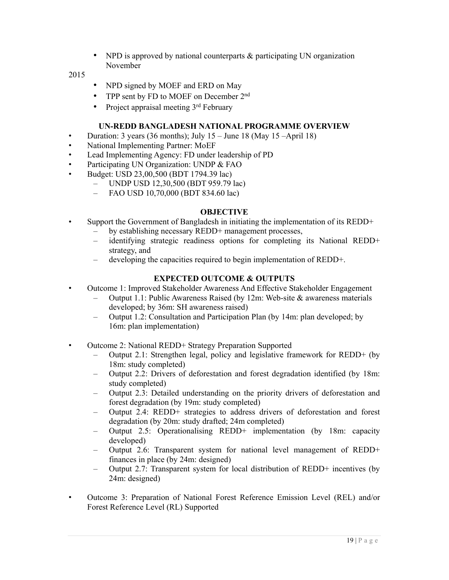• NPD is approved by national counterparts & participating UN organization November

#### 2015

- NPD signed by MOEF and ERD on May
- TPP sent by FD to MOEF on December 2<sup>nd</sup>
- Project appraisal meeting  $3<sup>rd</sup>$  February

#### **UN-REDD BANGLADESH NATIONAL PROGRAMME OVERVIEW**

- Duration: 3 years (36 months); July  $15 -$  June 18 (May 15 –April 18)
- National Implementing Partner: MoEF
- Lead Implementing Agency: FD under leadership of PD
- Participating UN Organization: UNDP & FAO
- Budget: USD 23,00,500 (BDT 1794.39 lac)
	- UNDP USD 12,30,500 (BDT 959.79 lac)
	- FAO USD 10,70,000 (BDT 834.60 lac)

#### **OBJECTIVE**

- Support the Government of Bangladesh in initiating the implementation of its REDD+
	- by establishing necessary REDD+ management processes,
	- identifying strategic readiness options for completing its National REDD+ strategy, and
	- developing the capacities required to begin implementation of REDD+.

#### **EXPECTED OUTCOME & OUTPUTS**

- Outcome 1: Improved Stakeholder Awareness And Effective Stakeholder Engagement
	- Output 1.1: Public Awareness Raised (by 12m: Web-site & awareness materials developed; by 36m: SH awareness raised)
		- Output 1.2: Consultation and Participation Plan (by 14m: plan developed; by 16m: plan implementation)
- Outcome 2: National REDD+ Strategy Preparation Supported
	- Output 2.1: Strengthen legal, policy and legislative framework for REDD+ (by 18m: study completed)
	- Output 2.2: Drivers of deforestation and forest degradation identified (by 18m: study completed)
	- Output 2.3: Detailed understanding on the priority drivers of deforestation and forest degradation (by 19m: study completed)
	- Output 2.4: REDD+ strategies to address drivers of deforestation and forest degradation (by 20m: study drafted; 24m completed)
	- Output 2.5: Operationalising REDD+ implementation (by 18m: capacity developed)
	- Output 2.6: Transparent system for national level management of REDD+ finances in place (by 24m: designed)
	- Output 2.7: Transparent system for local distribution of REDD+ incentives (by 24m: designed)
- Outcome 3: Preparation of National Forest Reference Emission Level (REL) and/or Forest Reference Level (RL) Supported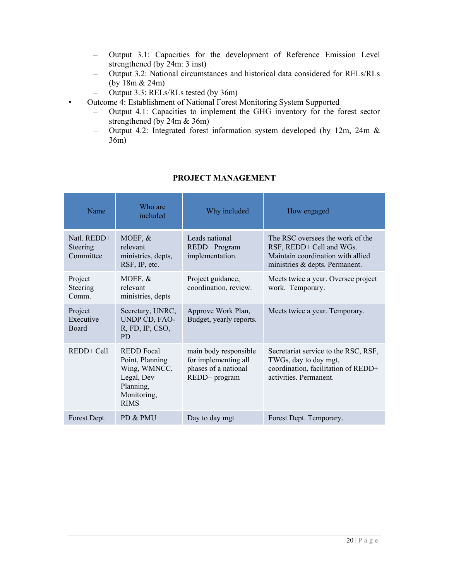- Output 3.1: Capacities for the development of Reference Emission Level strengthened (by 24m: 3 inst)
- Output 3.2: National circumstances and historical data considered for RELs/RLs (by 18m & 24m)
- Output 3.3: RELs/RLs tested (by 36m)
- Outcome 4: Establishment of National Forest Monitoring System Supported
	- Output 4.1: Capacities to implement the GHG inventory for the forest sector strengthened (by 24m & 36m)
	- Output 4.2: Integrated forest information system developed (by 12m, 24m & 36m)

| Name                                   | Who are<br>included                                                                                           | Why included                                                                           | How engaged                                                                                                                         |  |
|----------------------------------------|---------------------------------------------------------------------------------------------------------------|----------------------------------------------------------------------------------------|-------------------------------------------------------------------------------------------------------------------------------------|--|
| Natl. $REDD+$<br>Steering<br>Committee | MOEF, $&$<br>relevant<br>ministries, depts,<br>RSF, IP, etc.                                                  | Leads national<br>REDD+ Program<br>implementation.                                     | The RSC oversees the work of the<br>RSF, REDD+ Cell and WGs.<br>Maintain coordination with allied<br>ministries & depts. Permanent. |  |
| Project<br>Steering<br>Comm.           | MOEF, $&$<br>relevant<br>ministries, depts                                                                    | Project guidance,<br>coordination, review.                                             | Meets twice a year. Oversee project<br>work. Temporary.                                                                             |  |
| Project<br>Executive<br><b>Board</b>   | Secretary, UNRC,<br>UNDP CD, FAO-<br>R, FD, IP, CSO,<br><b>PD</b>                                             | Approve Work Plan,<br>Budget, yearly reports.                                          | Meets twice a year. Temporary.                                                                                                      |  |
| $REDD+Cell$                            | <b>REDD</b> Focal<br>Point, Planning<br>Wing, WMNCC,<br>Legal, Dev<br>Planning,<br>Monitoring,<br><b>RIMS</b> | main body responsible<br>for implementing all<br>phases of a national<br>REDD+ program | Secretariat service to the RSC, RSF,<br>TWGs, day to day mgt,<br>coordination, facilitation of REDD+<br>activities. Permanent.      |  |
| Forest Dept.                           | PD & PMU                                                                                                      | Day to day mgt                                                                         | Forest Dept. Temporary.                                                                                                             |  |

#### **PROJECT MANAGEMENT**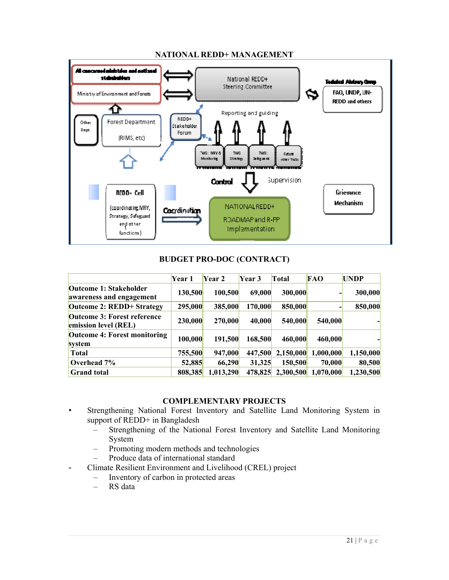

#### **NATIONAL REDD+ MANAGEMENT**

#### **BUDGET PRO-DOC (CONTRACT)**

|                                                            | Year 1  | Year 2    | Year 3  | Total     | <b>FAO</b> | <b>UNDP</b> |
|------------------------------------------------------------|---------|-----------|---------|-----------|------------|-------------|
| Outcome 1: Stakeholder<br>awareness and engagement         | 130,500 | 100,500   | 69,000  | 300,000   |            | 300,000     |
| <b>Outcome 2: REDD+ Strategy</b>                           | 295,000 | 385,000   | 170,000 | 850,000   |            | 850,000     |
| <b>Outcome 3: Forest reference</b><br>emission level (REL) | 230,000 | 270,000   | 40,000  | 540,000   | 540,000    |             |
| <b>Outcome 4: Forest monitoring</b><br>system              | 100,000 | 191,500   | 168,500 | 460,000   | 460,000    |             |
| <b>Total</b>                                               | 755,500 | 947,000   | 447,500 | 2,150,000 | 1,000,000  | 1,150,000   |
| Overhead 7%                                                | 52,885  | 66,290    | 31,325  | 150,500   | 70,000     | 80,500      |
| <b>Grand</b> total                                         | 808,385 | 1,013,290 | 478,825 | 2,300,500 | 1,070,000  | 1,230,500   |

#### **COMPLEMENTARY PROJECTS**

- Strengthening National Forest Inventory and Satellite Land Monitoring System in support of REDD+ in Bangladesh
	- Strengthening of the National Forest Inventory and Satellite Land Monitoring System
	- Promoting modern methods and technologies
	- Produce data of international standard
- Climate Resilient Environment and Livelihood (CREL) project
	- Inventory of carbon in protected areas
	- RS data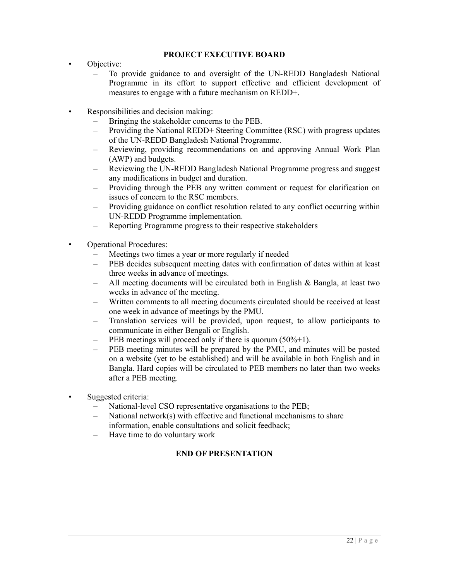#### **PROJECT EXECUTIVE BOARD**

- Objective:
	- To provide guidance to and oversight of the UN-REDD Bangladesh National Programme in its effort to support effective and efficient development of measures to engage with a future mechanism on REDD+.
- Responsibilities and decision making:
	- Bringing the stakeholder concerns to the PEB.
	- Providing the National REDD+ Steering Committee (RSC) with progress updates of the UN-REDD Bangladesh National Programme.
	- Reviewing, providing recommendations on and approving Annual Work Plan (AWP) and budgets.
	- Reviewing the UN-REDD Bangladesh National Programme progress and suggest any modifications in budget and duration.
	- Providing through the PEB any written comment or request for clarification on issues of concern to the RSC members.
	- Providing guidance on conflict resolution related to any conflict occurring within UN-REDD Programme implementation.
	- Reporting Programme progress to their respective stakeholders
- Operational Procedures:
	- Meetings two times a year or more regularly if needed
	- PEB decides subsequent meeting dates with confirmation of dates within at least three weeks in advance of meetings.
	- All meeting documents will be circulated both in English & Bangla, at least two weeks in advance of the meeting.
	- Written comments to all meeting documents circulated should be received at least one week in advance of meetings by the PMU.
	- Translation services will be provided, upon request, to allow participants to communicate in either Bengali or English.
	- PEB meetings will proceed only if there is quorum  $(50\% + 1)$ .
	- PEB meeting minutes will be prepared by the PMU, and minutes will be posted on a website (yet to be established) and will be available in both English and in Bangla. Hard copies will be circulated to PEB members no later than two weeks after a PEB meeting.
- Suggested criteria:
	- National-level CSO representative organisations to the PEB;
	- National network(s) with effective and functional mechanisms to share information, enable consultations and solicit feedback;
	- Have time to do voluntary work

#### **END OF PRESENTATION**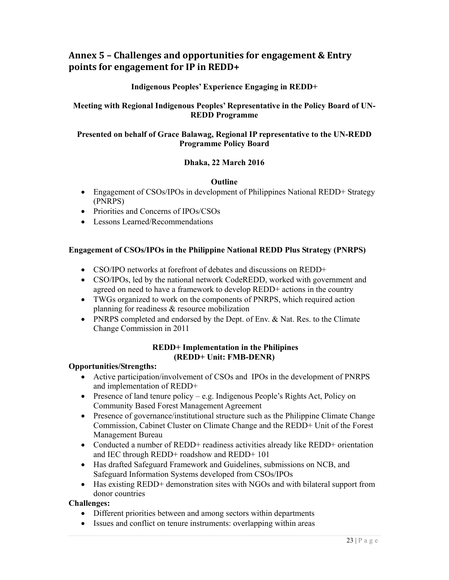### **Annex 5 – Challenges and opportunities for engagement & Entry points for engagement for IP in REDD+**

#### **Indigenous Peoples' Experience Engaging in REDD+**

#### **Meeting with Regional Indigenous Peoples' Representative in the Policy Board of UN-REDD Programme**

#### **Presented on behalf of Grace Balawag, Regional IP representative to the UN-REDD Programme Policy Board**

#### **Dhaka, 22 March 2016**

#### **Outline**

- Engagement of CSOs/IPOs in development of Philippines National REDD+ Strategy (PNRPS)
- Priorities and Concerns of IPOs/CSOs
- Lessons Learned/Recommendations

#### **Engagement of CSOs/IPOs in the Philippine National REDD Plus Strategy (PNRPS)**

- CSO/IPO networks at forefront of debates and discussions on REDD+
- CSO/IPOs, led by the national network CodeREDD, worked with government and agreed on need to have a framework to develop REDD+ actions in the country
- TWGs organized to work on the components of PNRPS, which required action planning for readiness & resource mobilization
- PNRPS completed and endorsed by the Dept. of Env. & Nat. Res. to the Climate Change Commission in 2011

#### **REDD+ Implementation in the Philipines (REDD+ Unit: FMB-DENR)**

#### **Opportunities/Strengths:**

- Active participation/involvement of CSOs and IPOs in the development of PNRPS and implementation of REDD+
- Presence of land tenure policy e.g. Indigenous People's Rights Act, Policy on Community Based Forest Management Agreement
- Presence of governance/institutional structure such as the Philippine Climate Change Commission, Cabinet Cluster on Climate Change and the REDD+ Unit of the Forest Management Bureau
- Conducted a number of REDD+ readiness activities already like REDD+ orientation and IEC through REDD+ roadshow and REDD+ 101
- Has drafted Safeguard Framework and Guidelines, submissions on NCB, and Safeguard Information Systems developed from CSOs/IPOs
- Has existing REDD+ demonstration sites with NGOs and with bilateral support from donor countries

#### **Challenges:**

- Different priorities between and among sectors within departments
- Issues and conflict on tenure instruments: overlapping within areas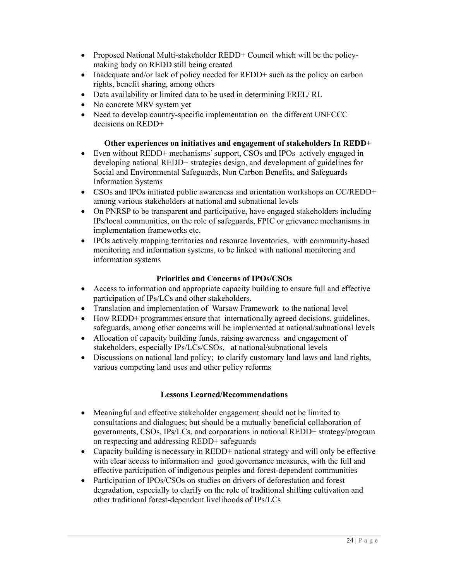- Proposed National Multi-stakeholder REDD+ Council which will be the policymaking body on REDD still being created
- Inadequate and/or lack of policy needed for REDD+ such as the policy on carbon rights, benefit sharing, among others
- Data availability or limited data to be used in determining FREL/ RL
- No concrete MRV system yet
- Need to develop country-specific implementation on the different UNFCCC decisions on REDD+

#### **Other experiences on initiatives and engagement of stakeholders In REDD+**

- Even without REDD+ mechanisms' support, CSOs and IPOs actively engaged in developing national REDD+ strategies design, and development of guidelines for Social and Environmental Safeguards, Non Carbon Benefits, and Safeguards Information Systems
- CSOs and IPOs initiated public awareness and orientation workshops on CC/REDD+ among various stakeholders at national and subnational levels
- On PNRSP to be transparent and participative, have engaged stakeholders including IPs/local communities, on the role of safeguards, FPIC or grievance mechanisms in implementation frameworks etc.
- IPOs actively mapping territories and resource Inventories, with community-based monitoring and information systems, to be linked with national monitoring and information systems

#### **Priorities and Concerns of IPOs/CSOs**

- Access to information and appropriate capacity building to ensure full and effective participation of IPs/LCs and other stakeholders.
- Translation and implementation of Warsaw Framework to the national level
- How REDD+ programmes ensure that internationally agreed decisions, guidelines, safeguards, among other concerns will be implemented at national/subnational levels
- Allocation of capacity building funds, raising awareness and engagement of stakeholders, especially IPs/LCs/CSOs, at national/subnational levels
- Discussions on national land policy; to clarify customary land laws and land rights, various competing land uses and other policy reforms

#### **Lessons Learned/Recommendations**

- Meaningful and effective stakeholder engagement should not be limited to consultations and dialogues; but should be a mutually beneficial collaboration of governments, CSOs, IPs/LCs, and corporations in national REDD+ strategy/program on respecting and addressing REDD+ safeguards
- Capacity building is necessary in REDD+ national strategy and will only be effective with clear access to information and good governance measures, with the full and effective participation of indigenous peoples and forest-dependent communities
- Participation of IPOs/CSOs on studies on drivers of deforestation and forest degradation, especially to clarify on the role of traditional shifting cultivation and other traditional forest-dependent livelihoods of IPs/LCs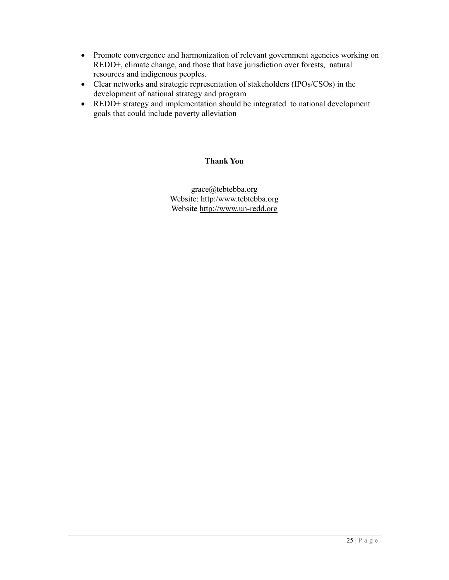- Promote convergence and harmonization of relevant government agencies working on REDD+, climate change, and those that have jurisdiction over forests, natural resources and indigenous peoples.
- Clear networks and strategic representation of stakeholders (IPOs/CSOs) in the development of national strategy and program
- REDD+ strategy and implementation should be integrated to national development goals that could include poverty alleviation

#### **Thank You**

grace@tebtebba.org Website: http:/www.tebtebba.org Website http://www.un-redd.org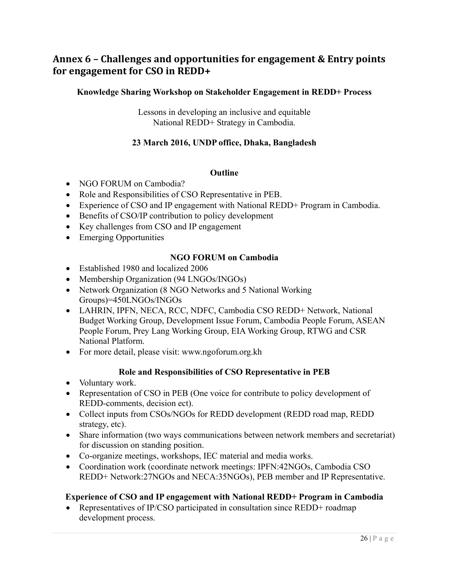### **Annex 6 – Challenges and opportunities for engagement & Entry points for engagement for CSO in REDD+**

#### **Knowledge Sharing Workshop on Stakeholder Engagement in REDD+ Process**

Lessons in developing an inclusive and equitable National REDD+ Strategy in Cambodia.

#### **23 March 2016, UNDP office, Dhaka, Bangladesh**

#### **Outline**

- NGO FORUM on Cambodia?
- Role and Responsibilities of CSO Representative in PEB.
- Experience of CSO and IP engagement with National REDD+ Program in Cambodia.
- Benefits of CSO/IP contribution to policy development
- Key challenges from CSO and IP engagement
- Emerging Opportunities

#### **NGO FORUM on Cambodia**

- Established 1980 and localized 2006
- Membership Organization (94 LNGOs/INGOs)
- Network Organization (8 NGO Networks and 5 National Working Groups)=450LNGOs/INGOs
- LAHRIN, IPFN, NECA, RCC, NDFC, Cambodia CSO REDD+ Network, National Budget Working Group, Development Issue Forum, Cambodia People Forum, ASEAN People Forum, Prey Lang Working Group, EIA Working Group, RTWG and CSR National Platform.
- For more detail, please visit: www.ngoforum.org.kh

#### **Role and Responsibilities of CSO Representative in PEB**

- Voluntary work.
- Representation of CSO in PEB (One voice for contribute to policy development of REDD-comments, decision ect).
- Collect inputs from CSOs/NGOs for REDD development (REDD road map, REDD strategy, etc).
- Share information (two ways communications between network members and secretariat) for discussion on standing position.
- Co-organize meetings, workshops, IEC material and media works.
- Coordination work (coordinate network meetings: IPFN:42NGOs, Cambodia CSO REDD+ Network:27NGOs and NECA:35NGOs), PEB member and IP Representative.

#### **Experience of CSO and IP engagement with National REDD+ Program in Cambodia**

• Representatives of IP/CSO participated in consultation since REDD+ roadmap development process.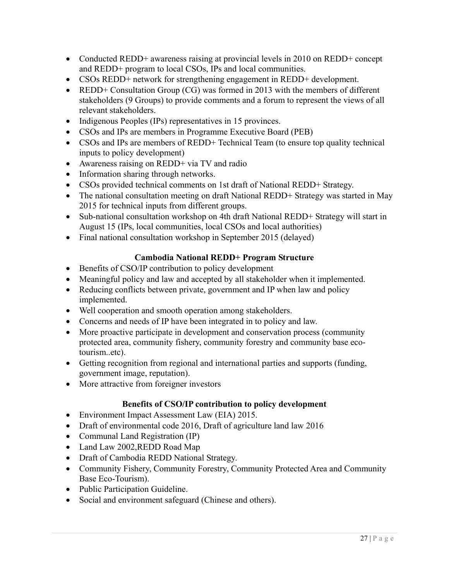- Conducted REDD+ awareness raising at provincial levels in 2010 on REDD+ concept and REDD+ program to local CSOs, IPs and local communities.
- CSOs REDD+ network for strengthening engagement in REDD+ development.
- REDD+ Consultation Group (CG) was formed in 2013 with the members of different stakeholders (9 Groups) to provide comments and a forum to represent the views of all relevant stakeholders.
- Indigenous Peoples (IPs) representatives in 15 provinces.
- CSOs and IPs are members in Programme Executive Board (PEB)
- CSOs and IPs are members of REDD+ Technical Team (to ensure top quality technical inputs to policy development)
- Awareness raising on REDD+ via TV and radio
- Information sharing through networks.
- CSOs provided technical comments on 1st draft of National REDD+ Strategy.
- The national consultation meeting on draft National REDD+ Strategy was started in May 2015 for technical inputs from different groups.
- Sub-national consultation workshop on 4th draft National REDD+ Strategy will start in August 15 (IPs, local communities, local CSOs and local authorities)
- Final national consultation workshop in September 2015 (delayed)

### **Cambodia National REDD+ Program Structure**

- Benefits of CSO/IP contribution to policy development
- Meaningful policy and law and accepted by all stakeholder when it implemented.
- Reducing conflicts between private, government and IP when law and policy implemented.
- Well cooperation and smooth operation among stakeholders.
- Concerns and needs of IP have been integrated in to policy and law.
- More proactive participate in development and conservation process (community protected area, community fishery, community forestry and community base ecotourism..etc).
- Getting recognition from regional and international parties and supports (funding, government image, reputation).
- More attractive from foreigner investors

### **Benefits of CSO/IP contribution to policy development**

- Environment Impact Assessment Law (EIA) 2015.
- Draft of environmental code 2016, Draft of agriculture land law 2016
- Communal Land Registration (IP)
- Land Law 2002,REDD Road Map
- Draft of Cambodia REDD National Strategy.
- Community Fishery, Community Forestry, Community Protected Area and Community Base Eco-Tourism).
- Public Participation Guideline.
- Social and environment safeguard (Chinese and others).